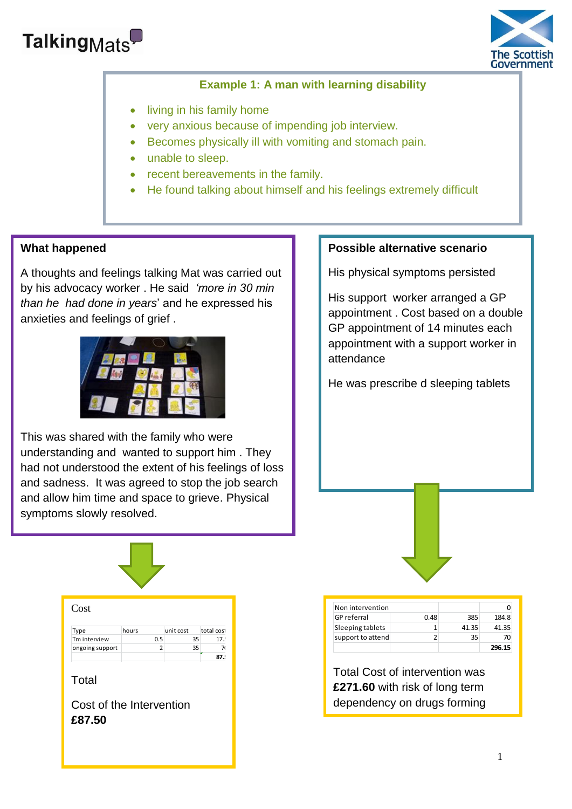



## **Example 1: A man with learning disability**

- living in his family home
- very anxious because of impending job interview.
- Becomes physically ill with vomiting and stomach pain.
- unable to sleep.
- recent bereavements in the family.
- He found talking about himself and his feelings extremely difficult

## **What happened**

A thoughts and feelings talking Mat was carried out by his advocacy worker . He said *'more in 30 min than he had done in years*' and he expressed his anxieties and feelings of grief .



 and sadness. It was agreed to stop the job search . and allow him time and space to grieve. Physical This was shared with the family who were understanding and wanted to support him . They had not understood the extent of his feelings of loss symptoms slowly resolved.

## **Possible alternative scenario**

His physical symptoms persisted

His support worker arranged a GP appointment . Cost based on a double GP appointment of 14 minutes each appointment with a support worker in attendance

He was prescribe d sleeping tablets



| Non intervention   |      |       |        |
|--------------------|------|-------|--------|
| <b>GP</b> referral | 0.48 | 385   | 184.8  |
| Sleeping tablets   |      | 41.35 | 41.35  |
| support to attend  |      | 35    | 70     |
|                    |      |       | 296.15 |

Total Cost of intervention was **£271.60** with risk of long term dependency on drugs forming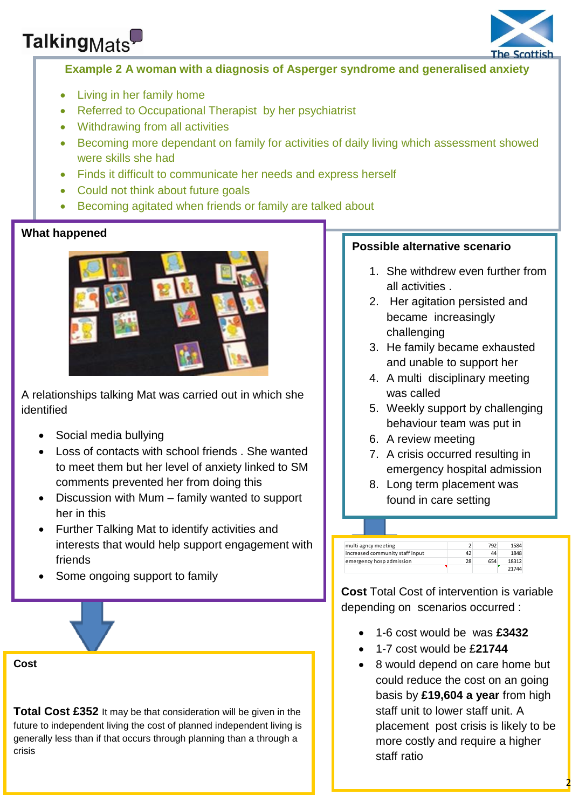# Talking<sub>Mats</sub>



## **Example 2 A woman with a diagnosis of Asperger syndrome and generalised anxiety**

- Living in her family home
- Referred to Occupational Therapist by her psychiatrist
- Withdrawing from all activities
- Becoming more dependant on family for activities of daily living which assessment showed were skills she had

 $\overline{a}$ 

- Finds it difficult to communicate her needs and express herself
- Could not think about future goals
- Becoming agitated when friends or family are talked about

## **What happened**



A relationships talking Mat was carried out in which she identified

- Social media bullying
- Loss of contacts with school friends . She wanted to meet them but her level of anxiety linked to SM comments prevented her from doing this
- Discussion with Mum family wanted to support her in this
- Further Talking Mat to identify activities and interests that would help support engagement with friends
- Some ongoing support to family

**Cost** 

**Total Cost £352** It may be that consideration will be given in the future to independent living the cost of planned independent living is generally less than if that occurs through planning than a through a crisis

## **Possible alternative scenario**

- 1. She withdrew even further from all activities .
- 2. Her agitation persisted and became increasingly challenging
- 3. He family became exhausted and unable to support her
- 4. A multi disciplinary meeting was called
- 5. Weekly support by challenging behaviour team was put in
- 6. A review meeting
- 7. A crisis occurred resulting in emergency hospital admission
- 8. Long term placement was found in care setting

| multi agncy meeting             |    | 792 | 1584  |
|---------------------------------|----|-----|-------|
| increased community staff input | 42 | 44  | 1848  |
| emergency hosp admission        | 28 | 654 | 18312 |
|                                 |    |     | 71711 |

**Cost** Total Cost of intervention is variable depending on scenarios occurred :

- 1-6 cost would be was **£3432**
- 1-7 cost would be £**21744**
- 8 would depend on care home but could reduce the cost on an going basis by **£19,604 a year** from high staff unit to lower staff unit. A placement post crisis is likely to be more costly and require a higher staff ratio

 $\overline{\mathbf{2}}$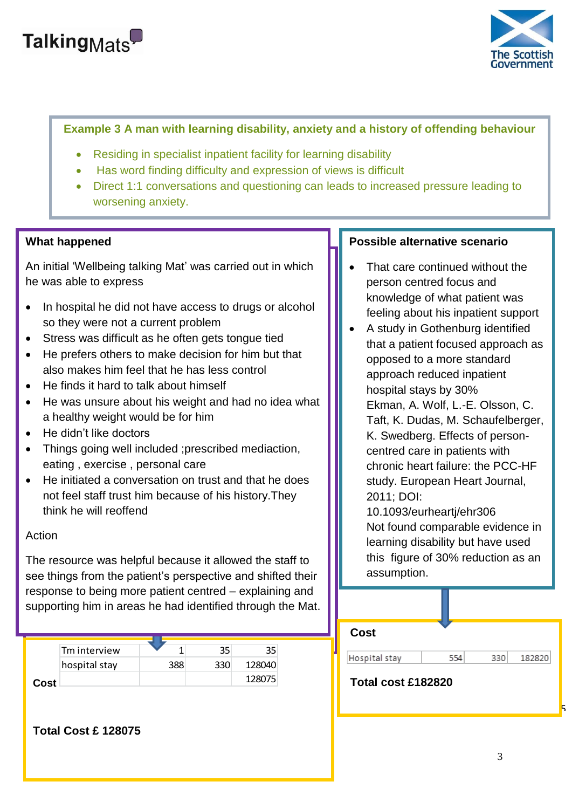



## **Example 3 A man with learning disability, anxiety and a history of offending behaviour**

- Residing in specialist inpatient facility for learning disability
- Has word finding difficulty and expression of views is difficult
- Direct 1:1 conversations and questioning can leads to increased pressure leading to worsening anxiety.

#### **What happened**

**What happened**  An initial 'Wellbeing talking Mat' was carried out in which he was able to express which was care-

- In hospital he did not have access to drugs or alcohol so they were not a current problem
- Stress was difficult as he often gets tongue tied
- He prefers others to make decision for him but that also makes him feel that he has less control
- He finds it hard to talk about himself
- He was unsure about his weight and had no idea what a healthy weight would be for him
- $\bullet$  He didn't like doctors

**Total Cost £ 128075** 

- Things going well included ;prescribed mediaction, eating , exercise , personal care
- He initiated a conversation on trust and that he does not feel staff trust him because of his history.They think he will reoffend

#### $\frac{1}{\sqrt{2}}$ Action

**Action** The resource was helpful because it allowed the The resource was helpful because it allowed the staff to the receative mad holptar secation is allered the claim to<br>see things from the patient's perspective and shifted their shifted their response to being more patient centred – response to being more patient centred – explaining and explaining and supportion of the supportion of the supporting direction in areas he had identified through the Mot the *comparint* supporting him in areas he had identified through the Mat.

|       | Tm interview  |     | 35 |        |
|-------|---------------|-----|----|--------|
|       | hospital stay | 388 |    | 128040 |
| Cost. |               |     |    | 1780   |

## **Possible alternative scenario**

- That care continued without the person centred focus and knowledge of what patient was feeling about his inpatient support
- A study in Gothenburg identified that a patient focused approach as opposed to a more standard approach reduced inpatient hospital stays by 30% Ekman, A. Wolf, L.-E. Olsson, C. Taft, K. Dudas, M. Schaufelberger, K. Swedberg. Effects of personcentred care in patients with chronic heart failure: the PCC-HF study. European Heart Journal, 2011; DOI:

10.1093/eurheartj/ehr306 Not found comparable evidence in learning disability but have used this figure of 30% reduction as an assumption.

| <b>Cost</b>        |     |     |        |   |
|--------------------|-----|-----|--------|---|
| Hospital stay      | 554 | 330 | 182820 |   |
| Total cost £182820 |     |     |        |   |
|                    |     |     |        | ь |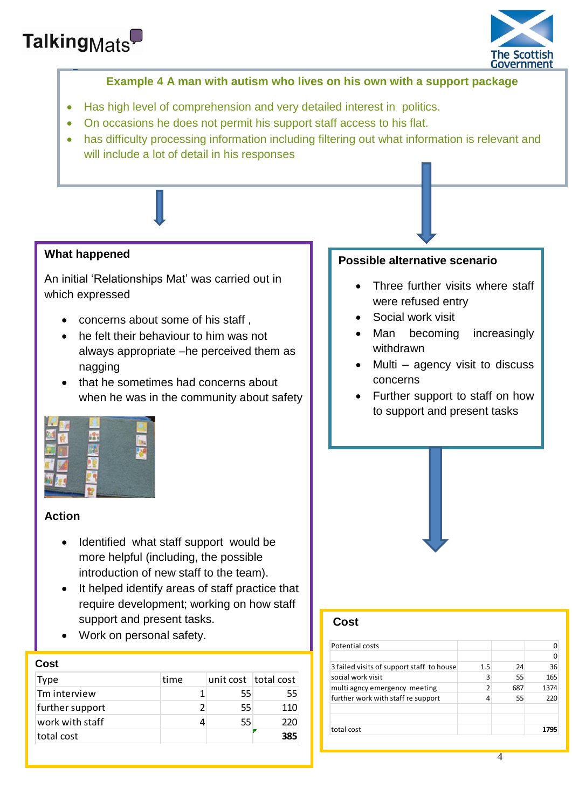



## **Example 4 A man with autism who lives on his own with a support package**

- Has high level of comprehension and very detailed interest in politics.
- On occasions he does not permit his support staff access to his flat.
- has difficulty processing information including filtering out what information is relevant and will include a lot of detail in his responses

## **What happened**

An initial 'Relationships Mat' was carried out in which expressed

- concerns about some of his staff ,
- he felt their behaviour to him was not always appropriate –he perceived them as nagging
- that he sometimes had concerns about when he was in the community about safety

### **Possible alternative scenario**

- Three further visits where staff were refused entry
- Social work visit
- Man becoming increasingly withdrawn
- Multi agency visit to discuss concerns
- Further support to staff on how to support and present tasks

## **Action**

- Identified what staff support would be more helpful (including, the possible introduction of new staff to the team).
- It helped identify areas of staff practice that require development; working on how staff support and present tasks.
- Work on personal safety.

#### **Cost**

| Type            | time | unit cost   total cost |     |
|-----------------|------|------------------------|-----|
| Tm interview    |      | 55                     | 55  |
| further support |      | 55                     | 110 |
| work with staff |      | 55                     | 220 |
| total cost      |      |                        | 385 |



## **Cost**

| Potential costs                           |     |     |      |
|-------------------------------------------|-----|-----|------|
|                                           |     |     |      |
| 3 failed visits of support staff to house | 1.5 | 24  | 36   |
| social work visit                         |     | 55  | 165  |
| multi agncy emergency meeting             |     | 687 | 1374 |
| further work with staff re support        |     | 55  | 220  |
| total cost                                |     |     | 1795 |

 $\overline{4}$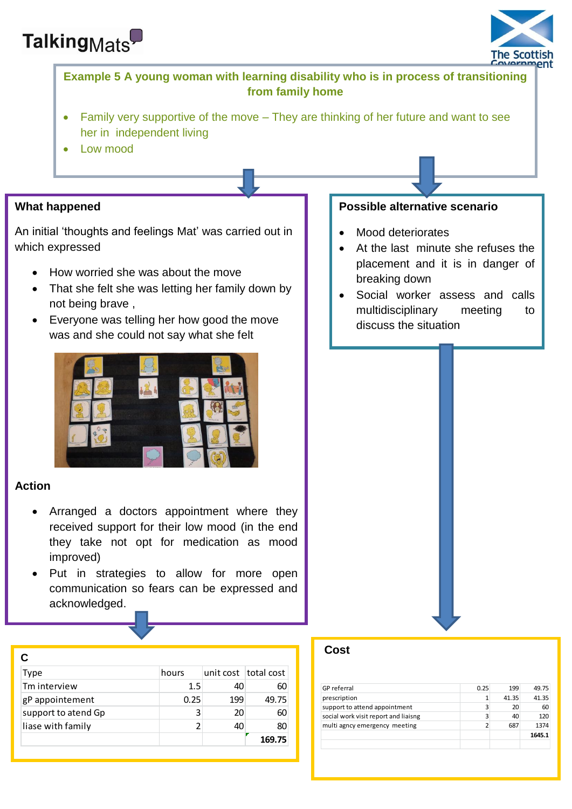



## **Example 5 A young woman with learning disability who is in process of transitioning from family home**

- Family very supportive of the move They are thinking of her future and want to see her in independent living
- Low mood

## **What happened**

An initial 'thoughts and feelings Mat' was carried out in which expressed

- How worried she was about the move
- That she felt she was letting her family down by not being brave ,
- Everyone was telling her how good the move was and she could not say what she felt



## **Action**

- Arranged a doctors appointment where they received support for their low mood (in the end they take not opt for medication as mood improved)
- Put in strategies to allow for more open communication so fears can be expressed and acknowledged.

| C                   |       |     |                      |
|---------------------|-------|-----|----------------------|
| Type                | hours |     | unit cost total cost |
| Tm interview        | 1.5   | 40  | 60                   |
| gP appointement     | 0.25  | 199 | 49.75                |
| support to atend Gp | 3     | 20  | 60                   |
| liase with family   |       | 40  | 80                   |
|                     |       |     | 169.75               |

## **Possible alternative scenario**

- Mood deteriorates
- At the last minute she refuses the placement and it is in danger of breaking down
- Social worker assess and calls multidisciplinary meeting to discuss the situation

### **Cost**

| <b>GP</b> referral                   | 0.25 | 199   | 49.75  |
|--------------------------------------|------|-------|--------|
| prescription                         |      | 41.35 | 41.35  |
| support to attend appointment        | 3    | 20    | 60     |
| social work visit report and liaisng | 3    | 40    | 120    |
| multi agncy emergency meeting        |      | 687   | 1374   |
|                                      |      |       | 1645.1 |
|                                      |      |       |        |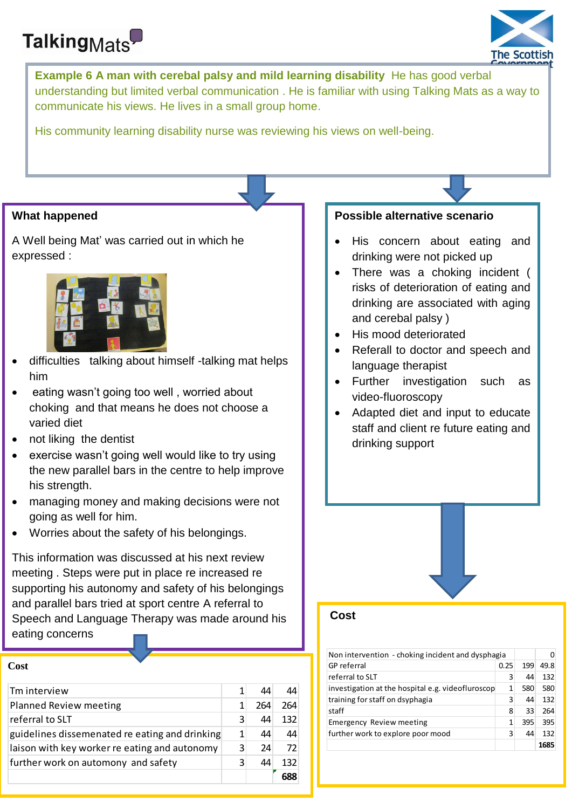# Talking<sub>Mats</sub>



**Example 6 A man with cerebal palsy and mild learning disability** He has good verbal understanding but limited verbal communication . He is familiar with using Talking Mats as a way to communicate his views. He lives in a small group home.

His community learning disability nurse was reviewing his views on well-being.

## **What happened**

A Well being Mat' was carried out in which he expressed :



- difficulties talking about himself -talking mat helps him
- eating wasn't going too well , worried about choking and that means he does not choose a varied diet
- not liking the dentist
- exercise wasn't going well would like to try using the new parallel bars in the centre to help improve his strength.
- managing money and making decisions were not going as well for him.
- Worries about the safety of his belongings.

This information was discussed at his next review meeting . Steps were put in place re increased re supporting his autonomy and safety of his belongings and parallel bars tried at sport centre A referral to Speech and Language Therapy was made around his eating concerns

#### **Cost**

| Tm interview                                   |   | 44  | 44  |
|------------------------------------------------|---|-----|-----|
| <b>Planned Review meeting</b>                  |   | 264 | 264 |
| referral to SLT                                | ς | 44  | 132 |
| guidelines dissemenated re eating and drinking | 1 | 44  | 44  |
| laison with key worker re eating and autonomy  | 3 | 24  | 72  |
| further work on automony and safety            | ς | 44  | 132 |
|                                                |   |     |     |

#### **Possible alternative scenario**

- His concern about eating and drinking were not picked up
- There was a choking incident ( risks of deterioration of eating and drinking are associated with aging and cerebal palsy )
- His mood deteriorated
- Referall to doctor and speech and language therapist
- Further investigation such as video-fluoroscopy
- Adapted diet and input to educate staff and client re future eating and drinking support

### **Cost**

| Non intervention - choking incident and dysphagia |      |     |      |
|---------------------------------------------------|------|-----|------|
| <b>GP</b> referral                                | 0.25 | 199 | 49.8 |
| referral to SLT                                   | 3    | 44  | 132  |
| investigation at the hospital e.g. videofluroscop | 1    | 580 | 580  |
| training for staff on dsyphagia                   | 3    | 44  | 132  |
| staff                                             | 8    | 33  | 264  |
| <b>Emergency Review meeting</b>                   | 1    | 395 | 395  |
| further work to explore poor mood                 | ς    | 44  | 132  |
|                                                   |      |     | 1685 |